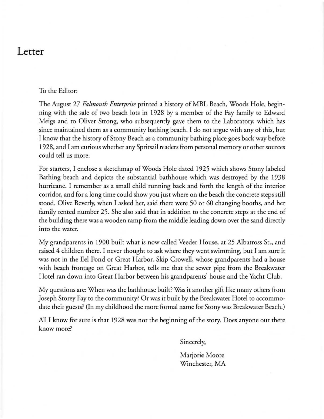## **Letter**

## To the Editor:

The August 27 *Falmouth Enterprise* printed a history of MBL Beach, Woods Hole, beginning with the sale of two beach lots in 1928 by a member of the Fay family to Edward Meigs and to Oliver Strong. who subsequently gave them to the Laboratory. which has since maintained them as a community bathing beach. I do not argue with any of this, but I know that the history of Stony Beach as a community bathing place goes back way before 1928. and I am curious whether any Spritsail readers from personal memory or other sources could tell us more.

For starters. I enclose a sketchmap of Woods Hole dated 1925 which shows Stony labeled Bathing beach and depicts the substantial bathhouse which was destroyed by the 1938 hurricane. I remember as a small child running back and forth the length of the interior corridor. and for a long time could show you just where on the beach the concrete steps still stood. Olive Beverly, when I asked her, said there were 50 or 60 changing booths, and her family rented number 25. She also said that in addition to the concrete steps at the end of the building there was a wooden ramp from the middle leading down over the sand directly **into the water.** 

My grandparents in 1900 built what is now called Veeder House. at 25 Albatross Sr.. and raised 4 children there. I never thought to ask where they went swimming. but I am sure it was not in the Eel Pond or Great Harbor. Skip Crowell. whose grandparents had a house with beach frontage on Great Harbor. tells me that the sewer pipe from the Breakwater Hotel ran down into Great Harbor between his grandparents' house and the Yacht Club.

My questions are: When was the bathhouse built? Was it another gift like many others from Joseph Storey Fay to the community? Or was it built by the Breakwater Hotel to accommodate their guests? (In my childhood the more formal name for Stony was Breakwater Beach.)

All I know for sure is that 1928 was not the beginning of the story. Does anyone out there **know more?** 

Sincerely,

Marjorie Moore **Winchester, MA**